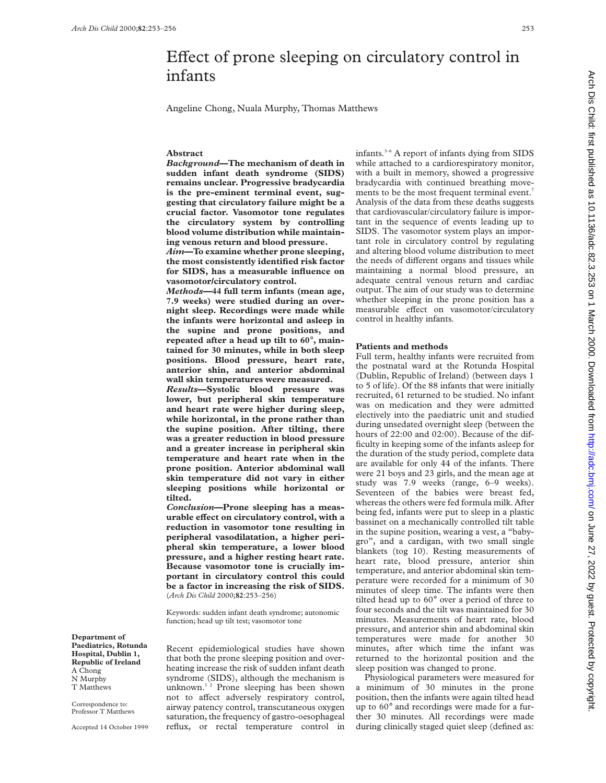# Effect of prone sleeping on circulatory control in infants

Angeline Chong, Nuala Murphy, Thomas Matthews

# **Abstract**

*Background***—The mechanism of death in sudden infant death syndrome (SIDS) remains unclear. Progressive bradycardia is the pre-eminent terminal event, suggesting that circulatory failure might be a crucial factor. Vasomotor tone regulates the circulatory system by controlling blood volume distribution while maintaining venous return and blood pressure.**

*Aim***—To examine whether prone sleeping, the most consistently identified risk factor for SIDS, has a measurable influence on vasomotor/circulatory control.**

*Methods***—44 full term infants (mean age, 7.9 weeks) were studied during an overnight sleep. Recordings were made while the infants were horizontal and asleep in the supine and prone positions, and repeated after a head up tilt to 60**°**, maintained for 30 minutes, while in both sleep positions. Blood pressure, heart rate, anterior shin, and anterior abdominal wall skin temperatures were measured.**

*Results***—Systolic blood pressure was lower, but peripheral skin temperature and heart rate were higher during sleep, while horizontal, in the prone rather than the supine position. After tilting, there was a greater reduction in blood pressure and a greater increase in peripheral skin temperature and heart rate when in the prone position. Anterior abdominal wall skin temperature did not vary in either sleeping positions while horizontal or tilted.**

*Conclusion***—Prone sleeping has a measurable eVect on circulatory control, with a reduction in vasomotor tone resulting in peripheral vasodilatation, a higher peripheral skin temperature, a lower blood pressure, and a higher resting heart rate. Because vasomotor tone is crucially important in circulatory control this could be a factor in increasing the risk of SIDS.** (*Arch Dis Child* 2000;**82**:253–256)

Keywords: sudden infant death syndrome; autonomic function; head up tilt test; vasomotor tone

**Department of Paediatrics, Rotunda Hospital, Dublin 1, Republic of Ireland** A Chong N Murphy T Matthews

Correspondence to: Professor T Matthews

Accepted 14 October 1999

Recent epidemiological studies have shown that both the prone sleeping position and overheating increase the risk of sudden infant death syndrome (SIDS), although the mechanism is unknown.1 2 Prone sleeping has been shown not to affect adversely respiratory control, airway patency control, transcutaneous oxygen saturation, the frequency of gastro-oesophageal reflux, or rectal temperature control in

infants.3–6 A report of infants dying from SIDS while attached to a cardiorespiratory monitor, with a built in memory, showed a progressive bradycardia with continued breathing movements to be the most frequent terminal event.<sup>7</sup> Analysis of the data from these deaths suggests that cardiovascular/circulatory failure is important in the sequence of events leading up to SIDS. The vasomotor system plays an important role in circulatory control by regulating and altering blood volume distribution to meet the needs of different organs and tissues while maintaining a normal blood pressure, an adequate central venous return and cardiac output. The aim of our study was to determine whether sleeping in the prone position has a measurable effect on vasomotor/circulatory control in healthy infants.

## **Patients and methods**

Full term, healthy infants were recruited from the postnatal ward at the Rotunda Hospital (Dublin, Republic of Ireland) (between days 1 to 5 of life). Of the 88 infants that were initially recruited, 61 returned to be studied. No infant was on medication and they were admitted electively into the paediatric unit and studied during unsedated overnight sleep (between the hours of 22:00 and 02:00). Because of the difficulty in keeping some of the infants asleep for the duration of the study period, complete data are available for only 44 of the infants. There were 21 boys and 23 girls, and the mean age at study was 7.9 weeks (range, 6–9 weeks). Seventeen of the babies were breast fed, whereas the others were fed formula milk. After being fed, infants were put to sleep in a plastic bassinet on a mechanically controlled tilt table in the supine position, wearing a vest, a "babygro", and a cardigan, with two small single blankets (tog 10). Resting measurements of heart rate, blood pressure, anterior shin temperature, and anterior abdominal skin temperature were recorded for a minimum of 30 minutes of sleep time. The infants were then tilted head up to 60° over a period of three to four seconds and the tilt was maintained for 30 minutes. Measurements of heart rate, blood pressure, and anterior shin and abdominal skin temperatures were made for another 30 minutes, after which time the infant was returned to the horizontal position and the sleep position was changed to prone.

Physiological parameters were measured for a minimum of 30 minutes in the prone position, then the infants were again tilted head up to 60° and recordings were made for a further 30 minutes. All recordings were made during clinically staged quiet sleep (defined as: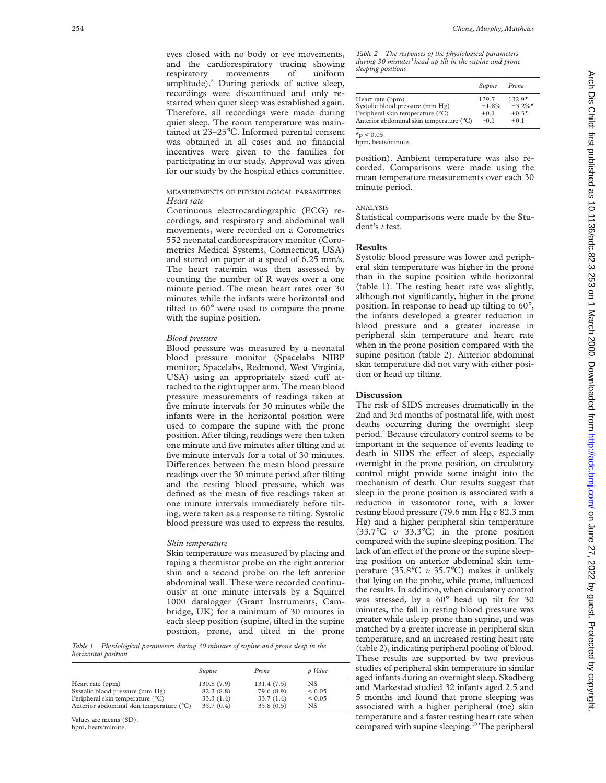eyes closed with no body or eye movements, and the cardiorespiratory tracing showing respiratory movements of uniform amplitude).8 During periods of active sleep, recordings were discontinued and only restarted when quiet sleep was established again. Therefore, all recordings were made during quiet sleep. The room temperature was maintained at 23–25°C. Informed parental consent was obtained in all cases and no financial incentives were given to the families for participating in our study. Approval was given for our study by the hospital ethics committee.

## MEASUREMENTS OF PHYSIOLOGICAL PARAMETERS *Heart rate*

Continuous electrocardiographic (ECG) recordings, and respiratory and abdominal wall movements, were recorded on a Corometrics 552 neonatal cardiorespiratory monitor (Corometrics Medical Systems, Connecticut, USA) and stored on paper at a speed of 6.25 mm/s. The heart rate/min was then assessed by counting the number of R waves over a one minute period. The mean heart rates over 30 minutes while the infants were horizontal and tilted to 60° were used to compare the prone with the supine position.

## *Blood pressure*

Blood pressure was measured by a neonatal blood pressure monitor (Spacelabs NIBP monitor; Spacelabs, Redmond, West Virginia, USA) using an appropriately sized cuff attached to the right upper arm. The mean blood pressure measurements of readings taken at five minute intervals for 30 minutes while the infants were in the horizontal position were used to compare the supine with the prone position. After tilting, readings were then taken one minute and five minutes after tilting and at five minute intervals for a total of 30 minutes. Differences between the mean blood pressure readings over the 30 minute period after tilting and the resting blood pressure, which was defined as the mean of five readings taken at one minute intervals immediately before tilting, were taken as a response to tilting. Systolic blood pressure was used to express the results.

#### *Skin temperature*

Skin temperature was measured by placing and taping a thermistor probe on the right anterior shin and a second probe on the left anterior abdominal wall. These were recorded continuously at one minute intervals by a Squirrel 1000 datalogger (Grant Instruments, Cambridge, UK) for a minimum of 30 minutes in each sleep position (supine, tilted in the supine position, prone, and tilted in the prone

*Table 1 Physiological parameters during 30 minutes of supine and prone sleep in the horizontal position*

|                                          | Supine     | Prone      | p Value     |
|------------------------------------------|------------|------------|-------------|
| Heart rate (bpm)                         | 130.8(7.9) | 131.4(7.5) | NS          |
| Systolic blood pressure (mm Hg)          | 82.3(8.8)  | 79.6(8.9)  | < 0.05      |
| Peripheral skin temperature (°C)         | 33.3(1.4)  | 33.7(1.4)  | ${}_{0.05}$ |
| Anterior abdominal skin temperature (°C) | 35.7(0.4)  | 35.8(0.5)  | NS          |

Values are means (SD).

bpm, beats/minute.

*Table 2 The responses of the physiological parameters during 30 minutes' head up tilt in the supine and prone sleeping positions*

|                                                     | Supine           | Prone                  |
|-----------------------------------------------------|------------------|------------------------|
| Heart rate (bpm)<br>Systolic blood pressure (mm Hg) | 129.7<br>$-1.8%$ | $132.9*$<br>$-3.2\%$ * |
| Peripheral skin temperature (°C)                    | $+0.1$           | $+0.3*$                |
| Anterior abdominal skin temperature (°C)            | $-0.1$           | $+0.1$                 |

 $*_{p}$  < 0.05.

bpm, beats/minute.

position). Ambient temperature was also recorded. Comparisons were made using the mean temperature measurements over each 30 minute period.

## ANALYSIS

Statistical comparisons were made by the Student's *t* test.

#### **Results**

Systolic blood pressure was lower and peripheral skin temperature was higher in the prone than in the supine position while horizontal (table 1). The resting heart rate was slightly, although not significantly, higher in the prone position. In response to head up tilting to 60°, the infants developed a greater reduction in blood pressure and a greater increase in peripheral skin temperature and heart rate when in the prone position compared with the supine position (table 2). Anterior abdominal skin temperature did not vary with either position or head up tilting.

#### **Discussion**

The risk of SIDS increases dramatically in the 2nd and 3rd months of postnatal life, with most deaths occurring during the overnight sleep period.<sup>9</sup> Because circulatory control seems to be important in the sequence of events leading to death in SIDS the effect of sleep, especially overnight in the prone position, on circulatory control might provide some insight into the mechanism of death. Our results suggest that sleep in the prone position is associated with a reduction in vasomotor tone, with a lower resting blood pressure (79.6 mm Hg *v* 82.3 mm Hg) and a higher peripheral skin temperature (33.7°C *v* 33.3°C) in the prone position compared with the supine sleeping position. The lack of an effect of the prone or the supine sleeping position on anterior abdominal skin temperature (35.8°C *v* 35.7°C) makes it unlikely that lying on the probe, while prone, influenced the results. In addition, when circulatory control was stressed, by a 60° head up tilt for 30 minutes, the fall in resting blood pressure was greater while asleep prone than supine, and was matched by a greater increase in peripheral skin temperature, and an increased resting heart rate (table 2), indicating peripheral pooling of blood. These results are supported by two previous studies of peripheral skin temperature in similar aged infants during an overnight sleep. Skadberg and Markestad studied 32 infants aged 2.5 and 5 months and found that prone sleeping was associated with a higher peripheral (toe) skin temperature and a faster resting heart rate when compared with supine sleeping.<sup>10</sup> The peripheral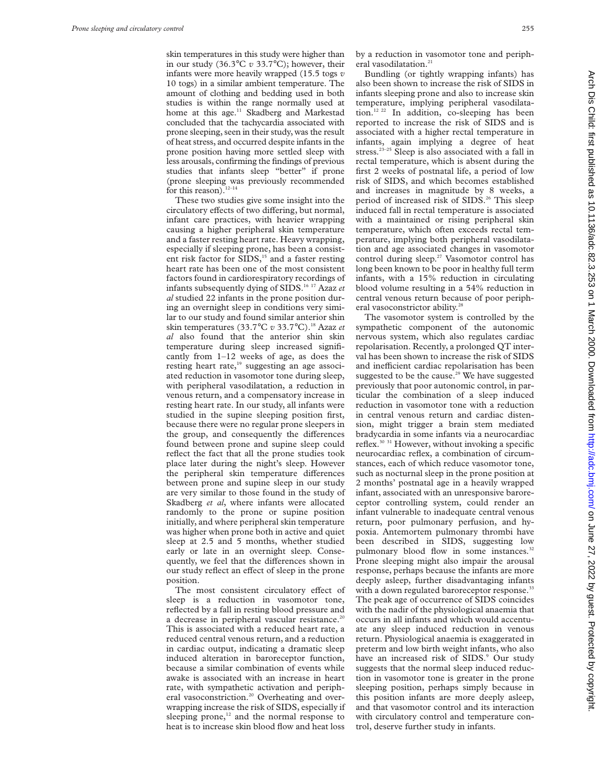skin temperatures in this study were higher than in our study (36.3°C *v* 33.7°C); however, their infants were more heavily wrapped (15.5 togs *v* 10 togs) in a similar ambient temperature. The amount of clothing and bedding used in both studies is within the range normally used at home at this age.<sup>11</sup> Skadberg and Markestad concluded that the tachycardia associated with prone sleeping, seen in their study, was the result of heat stress, and occurred despite infants in the prone position having more settled sleep with less arousals, confirming the findings of previous studies that infants sleep "better" if prone (prone sleeping was previously recommended for this reason). $12-14$ 

These two studies give some insight into the circulatory effects of two differing, but normal, infant care practices, with heavier wrapping causing a higher peripheral skin temperature and a faster resting heart rate. Heavy wrapping, especially if sleeping prone, has been a consistent risk factor for  $SIDS<sub>15</sub>$  and a faster resting heart rate has been one of the most consistent factors found in cardiorespiratory recordings of infants subsequently dying of SIDS.16 17 Azaz *et al* studied 22 infants in the prone position during an overnight sleep in conditions very similar to our study and found similar anterior shin skin temperatures (33.7°C *v* 33.7°C).<sup>18</sup> Azaz et *al* also found that the anterior shin skin temperature during sleep increased significantly from 1–12 weeks of age, as does the resting heart rate,<sup>19</sup> suggesting an age associated reduction in vasomotor tone during sleep, with peripheral vasodilatation, a reduction in venous return, and a compensatory increase in resting heart rate. In our study, all infants were studied in the supine sleeping position first, because there were no regular prone sleepers in the group, and consequently the differences found between prone and supine sleep could reflect the fact that all the prone studies took place later during the night's sleep. However the peripheral skin temperature differences between prone and supine sleep in our study are very similar to those found in the study of Skadberg *et al*, where infants were allocated randomly to the prone or supine position initially, and where peripheral skin temperature was higher when prone both in active and quiet sleep at 2.5 and 5 months, whether studied early or late in an overnight sleep. Consequently, we feel that the differences shown in our study reflect an effect of sleep in the prone position.

The most consistent circulatory effect of sleep is a reduction in vasomotor tone, reflected by a fall in resting blood pressure and a decrease in peripheral vascular resistance.<sup>20</sup> This is associated with a reduced heart rate, a reduced central venous return, and a reduction in cardiac output, indicating a dramatic sleep induced alteration in baroreceptor function, because a similar combination of events while awake is associated with an increase in heart rate, with sympathetic activation and peripheral vasoconstriction.<sup>20</sup> Overheating and overwrapping increase the risk of SIDS, especially if sleeping prone, $12$  and the normal response to heat is to increase skin blood flow and heat loss

by a reduction in vasomotor tone and peripheral vasodilatation.<sup>21</sup>

Bundling (or tightly wrapping infants) has also been shown to increase the risk of SIDS in infants sleeping prone and also to increase skin temperature, implying peripheral vasodilatation.<sup>12 22</sup> In addition, co-sleeping has been reported to increase the risk of SIDS and is associated with a higher rectal temperature in infants, again implying a degree of heat stress. $23-25$  Sleep is also associated with a fall in rectal temperature, which is absent during the first 2 weeks of postnatal life, a period of low risk of SIDS, and which becomes established and increases in magnitude by 8 weeks, a period of increased risk of SIDS.<sup>26</sup> This sleep induced fall in rectal temperature is associated with a maintained or rising peripheral skin temperature, which often exceeds rectal temperature, implying both peripheral vasodilatation and age associated changes in vasomotor control during sleep.<sup>27</sup> Vasomotor control has long been known to be poor in healthy full term infants, with a 15% reduction in circulating blood volume resulting in a 54% reduction in central venous return because of poor peripheral vasoconstrictor ability.<sup>28</sup>

The vasomotor system is controlled by the sympathetic component of the autonomic nervous system, which also regulates cardiac repolarisation. Recently, a prolonged QT interval has been shown to increase the risk of SIDS and inefficient cardiac repolarisation has been suggested to be the cause.<sup>29</sup> We have suggested previously that poor autonomic control, in particular the combination of a sleep induced reduction in vasomotor tone with a reduction in central venous return and cardiac distension, might trigger a brain stem mediated bradycardia in some infants via a neurocardiac reflex.30 31 However, without invoking a specific neurocardiac reflex, a combination of circumstances, each of which reduce vasomotor tone, such as nocturnal sleep in the prone position at 2 months' postnatal age in a heavily wrapped infant, associated with an unresponsive baroreceptor controlling system, could render an infant vulnerable to inadequate central venous return, poor pulmonary perfusion, and hypoxia. Antemortem pulmonary thrombi have been described in SIDS, suggesting low pulmonary blood flow in some instances.<sup>32</sup> Prone sleeping might also impair the arousal response, perhaps because the infants are more deeply asleep, further disadvantaging infants with a down regulated baroreceptor response.<sup>3</sup> The peak age of occurrence of SIDS coincides with the nadir of the physiological anaemia that occurs in all infants and which would accentuate any sleep induced reduction in venous return. Physiological anaemia is exaggerated in preterm and low birth weight infants, who also have an increased risk of SIDS.<sup>9</sup> Our study suggests that the normal sleep induced reduction in vasomotor tone is greater in the prone sleeping position, perhaps simply because in this position infants are more deeply asleep, and that vasomotor control and its interaction with circulatory control and temperature control, deserve further study in infants.